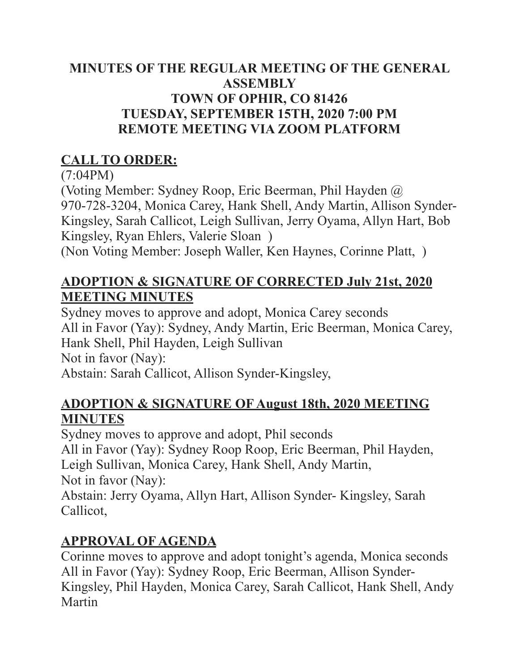#### **MINUTES OF THE REGULAR MEETING OF THE GENERAL ASSEMBLY TOWN OF OPHIR, CO 81426 TUESDAY, SEPTEMBER 15TH, 2020 7:00 PM REMOTE MEETING VIA ZOOM PLATFORM**

### **CALL TO ORDER:**

(7:04PM)

(Voting Member: Sydney Roop, Eric Beerman, Phil Hayden @ 970-728-3204, Monica Carey, Hank Shell, Andy Martin, Allison Synder-Kingsley, Sarah Callicot, Leigh Sullivan, Jerry Oyama, Allyn Hart, Bob Kingsley, Ryan Ehlers, Valerie Sloan ) (Non Voting Member: Joseph Waller, Ken Haynes, Corinne Platt, )

#### **ADOPTION & SIGNATURE OF CORRECTED July 21st, 2020 MEETING MINUTES**

Sydney moves to approve and adopt, Monica Carey seconds All in Favor (Yay): Sydney, Andy Martin, Eric Beerman, Monica Carey, Hank Shell, Phil Hayden, Leigh Sullivan Not in favor (Nay): Abstain: Sarah Callicot, Allison Synder-Kingsley,

#### **ADOPTION & SIGNATURE OF August 18th, 2020 MEETING MINUTES**

Sydney moves to approve and adopt, Phil seconds All in Favor (Yay): Sydney Roop Roop, Eric Beerman, Phil Hayden, Leigh Sullivan, Monica Carey, Hank Shell, Andy Martin, Not in favor (Nay):

Abstain: Jerry Oyama, Allyn Hart, Allison Synder- Kingsley, Sarah Callicot,

### **APPROVAL OF AGENDA**

Corinne moves to approve and adopt tonight's agenda, Monica seconds All in Favor (Yay): Sydney Roop, Eric Beerman, Allison Synder-Kingsley, Phil Hayden, Monica Carey, Sarah Callicot, Hank Shell, Andy Martin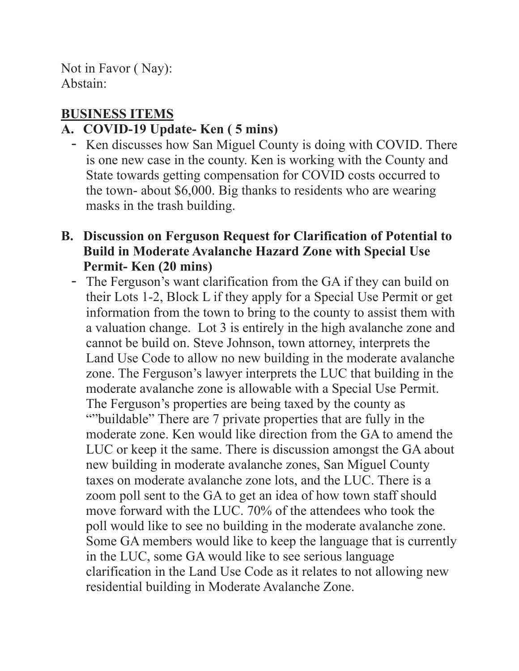Not in Favor ( Nay): Abstain:

#### **BUSINESS ITEMS**

#### **A. COVID-19 Update- Ken ( 5 mins)**

- Ken discusses how San Miguel County is doing with COVID. There is one new case in the county. Ken is working with the County and State towards getting compensation for COVID costs occurred to the town- about \$6,000. Big thanks to residents who are wearing masks in the trash building.
- **B. Discussion on Ferguson Request for Clarification of Potential to Build in Moderate Avalanche Hazard Zone with Special Use Permit- Ken (20 mins)** 
	- The Ferguson's want clarification from the GA if they can build on their Lots 1-2, Block L if they apply for a Special Use Permit or get information from the town to bring to the county to assist them with a valuation change. Lot 3 is entirely in the high avalanche zone and cannot be build on. Steve Johnson, town attorney, interprets the Land Use Code to allow no new building in the moderate avalanche zone. The Ferguson's lawyer interprets the LUC that building in the moderate avalanche zone is allowable with a Special Use Permit. The Ferguson's properties are being taxed by the county as ""buildable" There are 7 private properties that are fully in the moderate zone. Ken would like direction from the GA to amend the LUC or keep it the same. There is discussion amongst the GA about new building in moderate avalanche zones, San Miguel County taxes on moderate avalanche zone lots, and the LUC. There is a zoom poll sent to the GA to get an idea of how town staff should move forward with the LUC. 70% of the attendees who took the poll would like to see no building in the moderate avalanche zone. Some GA members would like to keep the language that is currently in the LUC, some GA would like to see serious language clarification in the Land Use Code as it relates to not allowing new residential building in Moderate Avalanche Zone.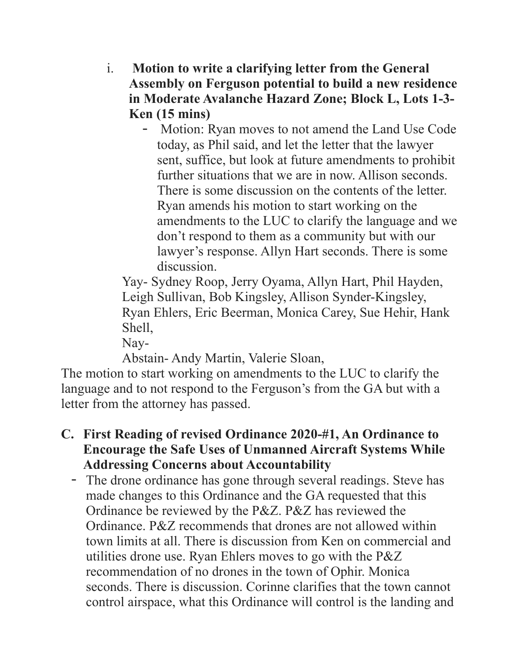- i. **Motion to write a clarifying letter from the General Assembly on Ferguson potential to build a new residence in Moderate Avalanche Hazard Zone; Block L, Lots 1-3- Ken (15 mins)** 
	- Motion: Ryan moves to not amend the Land Use Code today, as Phil said, and let the letter that the lawyer sent, suffice, but look at future amendments to prohibit further situations that we are in now. Allison seconds. There is some discussion on the contents of the letter. Ryan amends his motion to start working on the amendments to the LUC to clarify the language and we don't respond to them as a community but with our lawyer's response. Allyn Hart seconds. There is some discussion.

 Yay- Sydney Roop, Jerry Oyama, Allyn Hart, Phil Hayden, Leigh Sullivan, Bob Kingsley, Allison Synder-Kingsley, Ryan Ehlers, Eric Beerman, Monica Carey, Sue Hehir, Hank Shell,

Nay-

Abstain- Andy Martin, Valerie Sloan,

The motion to start working on amendments to the LUC to clarify the language and to not respond to the Ferguson's from the GA but with a letter from the attorney has passed.

- **C. First Reading of revised Ordinance 2020-#1, An Ordinance to Encourage the Safe Uses of Unmanned Aircraft Systems While Addressing Concerns about Accountability** 
	- The drone ordinance has gone through several readings. Steve has made changes to this Ordinance and the GA requested that this Ordinance be reviewed by the P&Z. P&Z has reviewed the Ordinance. P&Z recommends that drones are not allowed within town limits at all. There is discussion from Ken on commercial and utilities drone use. Ryan Ehlers moves to go with the P&Z recommendation of no drones in the town of Ophir. Monica seconds. There is discussion. Corinne clarifies that the town cannot control airspace, what this Ordinance will control is the landing and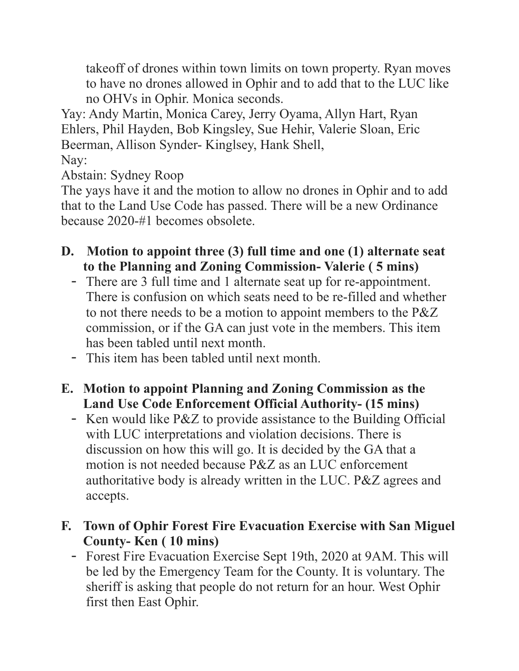takeoff of drones within town limits on town property. Ryan moves to have no drones allowed in Ophir and to add that to the LUC like no OHVs in Ophir. Monica seconds.

Yay: Andy Martin, Monica Carey, Jerry Oyama, Allyn Hart, Ryan Ehlers, Phil Hayden, Bob Kingsley, Sue Hehir, Valerie Sloan, Eric Beerman, Allison Synder- Kinglsey, Hank Shell,

Nay:

Abstain: Sydney Roop

The yays have it and the motion to allow no drones in Ophir and to add that to the Land Use Code has passed. There will be a new Ordinance because 2020-#1 becomes obsolete.

- **D. Motion to appoint three (3) full time and one (1) alternate seat to the Planning and Zoning Commission- Valerie ( 5 mins)** 
	- There are 3 full time and 1 alternate seat up for re-appointment. There is confusion on which seats need to be re-filled and whether to not there needs to be a motion to appoint members to the P&Z commission, or if the GA can just vote in the members. This item has been tabled until next month.
	- This item has been tabled until next month.
- **E. Motion to appoint Planning and Zoning Commission as the Land Use Code Enforcement Official Authority- (15 mins)** 
	- Ken would like P&Z to provide assistance to the Building Official with LUC interpretations and violation decisions. There is discussion on how this will go. It is decided by the GA that a motion is not needed because P&Z as an LUC enforcement authoritative body is already written in the LUC. P&Z agrees and accepts.
- **F. Town of Ophir Forest Fire Evacuation Exercise with San Miguel County- Ken ( 10 mins)** 
	- Forest Fire Evacuation Exercise Sept 19th, 2020 at 9AM. This will be led by the Emergency Team for the County. It is voluntary. The sheriff is asking that people do not return for an hour. West Ophir first then East Ophir.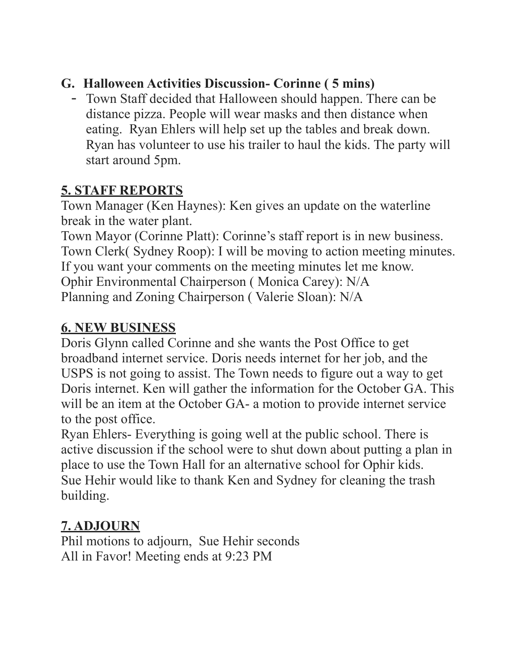### **G. Halloween Activities Discussion- Corinne ( 5 mins)**

- Town Staff decided that Halloween should happen. There can be distance pizza. People will wear masks and then distance when eating. Ryan Ehlers will help set up the tables and break down. Ryan has volunteer to use his trailer to haul the kids. The party will start around 5pm.

## **5. STAFF REPORTS**

Town Manager (Ken Haynes): Ken gives an update on the waterline break in the water plant.

Town Mayor (Corinne Platt): Corinne's staff report is in new business. Town Clerk( Sydney Roop): I will be moving to action meeting minutes. If you want your comments on the meeting minutes let me know. Ophir Environmental Chairperson ( Monica Carey): N/A Planning and Zoning Chairperson ( Valerie Sloan): N/A

### **6. NEW BUSINESS**

Doris Glynn called Corinne and she wants the Post Office to get broadband internet service. Doris needs internet for her job, and the USPS is not going to assist. The Town needs to figure out a way to get Doris internet. Ken will gather the information for the October GA. This will be an item at the October GA- a motion to provide internet service to the post office.

Ryan Ehlers- Everything is going well at the public school. There is active discussion if the school were to shut down about putting a plan in place to use the Town Hall for an alternative school for Ophir kids. Sue Hehir would like to thank Ken and Sydney for cleaning the trash building.

# **7. ADJOURN**

Phil motions to adjourn, Sue Hehir seconds All in Favor! Meeting ends at 9:23 PM